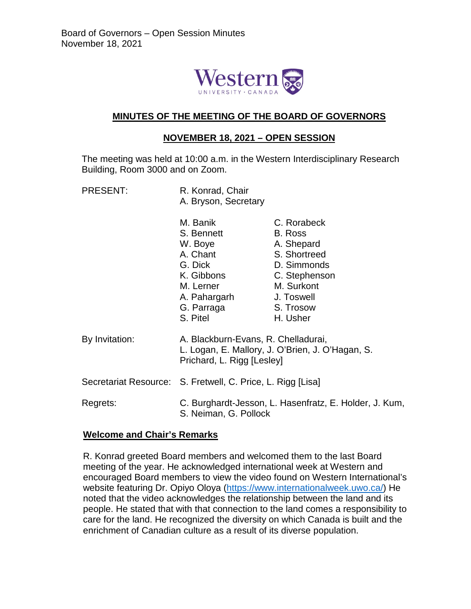

### **MINUTES OF THE MEETING OF THE BOARD OF GOVERNORS**

# **NOVEMBER 18, 2021 – OPEN SESSION**

The meeting was held at 10:00 a.m. in the Western Interdisciplinary Research Building, Room 3000 and on Zoom.

PRESENT: R. Konrad, Chair A. Bryson, Secretary

|                | M. Banik<br>S. Bennett<br>W. Boye<br>A. Chant<br>G. Dick<br>K. Gibbons<br>M. Lerner<br>A. Pahargarh<br>G. Parraga<br>S. Pitel | C. Rorabeck<br>B. Ross<br>A. Shepard<br>S. Shortreed<br>D. Simmonds<br>C. Stephenson<br>M. Surkont<br>J. Toswell<br>S. Trosow<br>H. Usher |
|----------------|-------------------------------------------------------------------------------------------------------------------------------|-------------------------------------------------------------------------------------------------------------------------------------------|
| By Invitation: | A. Blackburn-Evans, R. Chelladurai,<br>L. Logan, E. Mallory, J. O'Brien, J. O'Hagan, S.<br>Prichard, L. Rigg [Lesley]         |                                                                                                                                           |
|                | Secretariat Resource: S. Fretwell, C. Price, L. Rigg [Lisa]                                                                   |                                                                                                                                           |
| Regrets:       | C. Burghardt-Jesson, L. Hasenfratz, E. Holder, J. Kum,<br>S. Neiman, G. Pollock                                               |                                                                                                                                           |

### **Welcome and Chair's Remarks**

R. Konrad greeted Board members and welcomed them to the last Board meeting of the year. He acknowledged international week at Western and encouraged Board members to view the video found on Western International's website featuring Dr. Opiyo Oloya [\(https://www.internationalweek.uwo.ca/\)](https://www.internationalweek.uwo.ca/) He noted that the video acknowledges the relationship between the land and its people. He stated that with that connection to the land comes a responsibility to care for the land. He recognized the diversity on which Canada is built and the enrichment of Canadian culture as a result of its diverse population.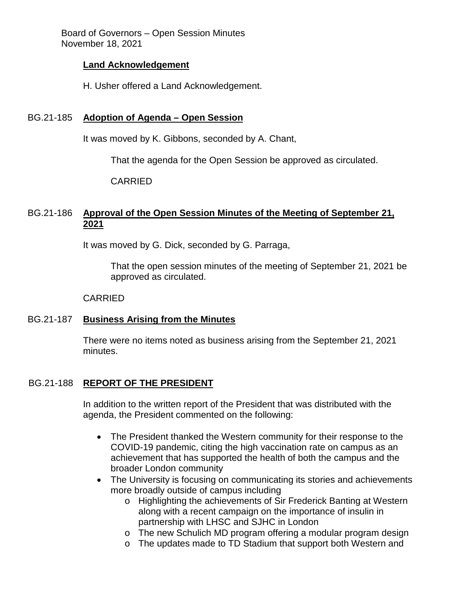#### **Land Acknowledgement**

H. Usher offered a Land Acknowledgement.

### BG.21-185 **Adoption of Agenda – Open Session**

It was moved by K. Gibbons, seconded by A. Chant,

That the agenda for the Open Session be approved as circulated.

CARRIED

# BG.21-186 **Approval of the Open Session Minutes of the Meeting of September 21, 2021**

It was moved by G. Dick, seconded by G. Parraga,

That the open session minutes of the meeting of September 21, 2021 be approved as circulated.

#### CARRIED

### BG.21-187 **Business Arising from the Minutes**

There were no items noted as business arising from the September 21, 2021 minutes.

### BG.21-188 **REPORT OF THE PRESIDENT**

In addition to the written report of the President that was distributed with the agenda, the President commented on the following:

- The President thanked the Western community for their response to the COVID-19 pandemic, citing the high vaccination rate on campus as an achievement that has supported the health of both the campus and the broader London community
- The University is focusing on communicating its stories and achievements more broadly outside of campus including
	- o Highlighting the achievements of Sir Frederick Banting at Western along with a recent campaign on the importance of insulin in partnership with LHSC and SJHC in London
	- o The new Schulich MD program offering a modular program design
	- o The updates made to TD Stadium that support both Western and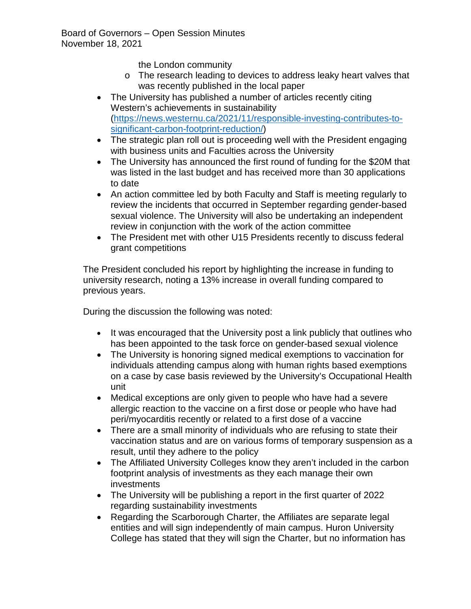the London community

- o The research leading to devices to address leaky heart valves that was recently published in the local paper
- The University has published a number of articles recently citing Western's achievements in sustainability [\(https://news.westernu.ca/2021/11/responsible-investing-contributes-to](https://news.westernu.ca/2021/11/responsible-investing-contributes-to-significant-carbon-footprint-reduction/)[significant-carbon-footprint-reduction/\)](https://news.westernu.ca/2021/11/responsible-investing-contributes-to-significant-carbon-footprint-reduction/)
- The strategic plan roll out is proceeding well with the President engaging with business units and Faculties across the University
- The University has announced the first round of funding for the \$20M that was listed in the last budget and has received more than 30 applications to date
- An action committee led by both Faculty and Staff is meeting regularly to review the incidents that occurred in September regarding gender-based sexual violence. The University will also be undertaking an independent review in conjunction with the work of the action committee
- The President met with other U15 Presidents recently to discuss federal grant competitions

The President concluded his report by highlighting the increase in funding to university research, noting a 13% increase in overall funding compared to previous years.

During the discussion the following was noted:

- It was encouraged that the University post a link publicly that outlines who has been appointed to the task force on gender-based sexual violence
- The University is honoring signed medical exemptions to vaccination for individuals attending campus along with human rights based exemptions on a case by case basis reviewed by the University's Occupational Health unit
- Medical exceptions are only given to people who have had a severe allergic reaction to the vaccine on a first dose or people who have had peri/myocarditis recently or related to a first dose of a vaccine
- There are a small minority of individuals who are refusing to state their vaccination status and are on various forms of temporary suspension as a result, until they adhere to the policy
- The Affiliated University Colleges know they aren't included in the carbon footprint analysis of investments as they each manage their own investments
- The University will be publishing a report in the first quarter of 2022 regarding sustainability investments
- Regarding the Scarborough Charter, the Affiliates are separate legal entities and will sign independently of main campus. Huron University College has stated that they will sign the Charter, but no information has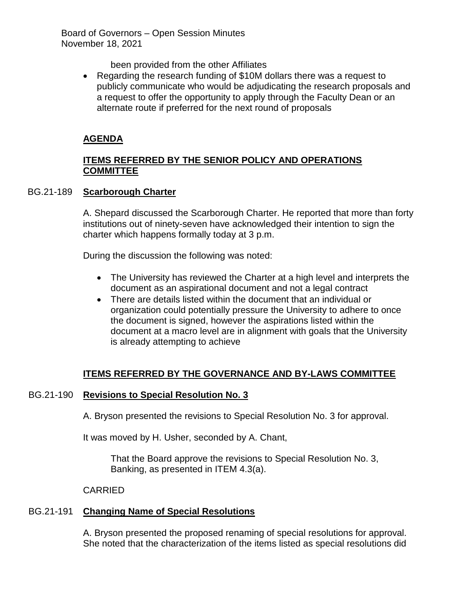been provided from the other Affiliates

• Regarding the research funding of \$10M dollars there was a request to publicly communicate who would be adjudicating the research proposals and a request to offer the opportunity to apply through the Faculty Dean or an alternate route if preferred for the next round of proposals

# **AGENDA**

# **ITEMS REFERRED BY THE SENIOR POLICY AND OPERATIONS COMMITTEE**

# BG.21-189 **Scarborough Charter**

A. Shepard discussed the Scarborough Charter. He reported that more than forty institutions out of ninety-seven have acknowledged their intention to sign the charter which happens formally today at 3 p.m.

During the discussion the following was noted:

- The University has reviewed the Charter at a high level and interprets the document as an aspirational document and not a legal contract
- There are details listed within the document that an individual or organization could potentially pressure the University to adhere to once the document is signed, however the aspirations listed within the document at a macro level are in alignment with goals that the University is already attempting to achieve

# **ITEMS REFERRED BY THE GOVERNANCE AND BY-LAWS COMMITTEE**

# BG.21-190 **Revisions to Special Resolution No. 3**

A. Bryson presented the revisions to Special Resolution No. 3 for approval.

It was moved by H. Usher, seconded by A. Chant,

That the Board approve the revisions to Special Resolution No. 3, Banking, as presented in ITEM 4.3(a).

CARRIED

# BG.21-191 **Changing Name of Special Resolutions**

A. Bryson presented the proposed renaming of special resolutions for approval. She noted that the characterization of the items listed as special resolutions did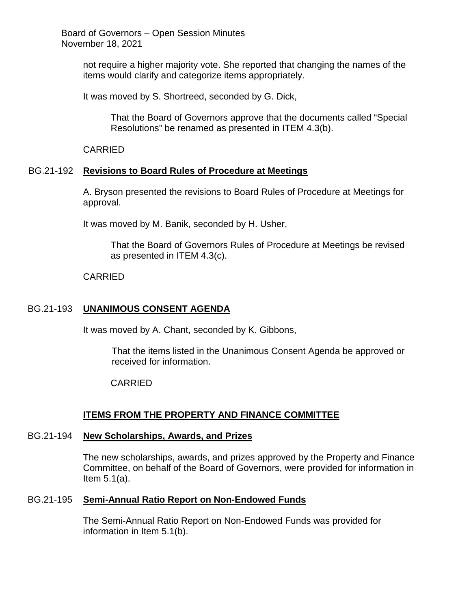> not require a higher majority vote. She reported that changing the names of the items would clarify and categorize items appropriately.

It was moved by S. Shortreed, seconded by G. Dick,

That the Board of Governors approve that the documents called "Special Resolutions" be renamed as presented in ITEM 4.3(b).

CARRIED

#### BG.21-192 **Revisions to Board Rules of Procedure at Meetings**

A. Bryson presented the revisions to Board Rules of Procedure at Meetings for approval.

It was moved by M. Banik, seconded by H. Usher,

That the Board of Governors Rules of Procedure at Meetings be revised as presented in ITEM 4.3(c).

CARRIED

#### BG.21-193 **UNANIMOUS CONSENT AGENDA**

It was moved by A. Chant, seconded by K. Gibbons,

That the items listed in the Unanimous Consent Agenda be approved or received for information.

#### CARRIED

### **ITEMS FROM THE PROPERTY AND FINANCE COMMITTEE**

#### BG.21-194 **New Scholarships, Awards, and Prizes**

The new scholarships, awards, and prizes approved by the Property and Finance Committee, on behalf of the Board of Governors, were provided for information in Item 5.1(a).

#### BG.21-195 **Semi-Annual Ratio Report on Non-Endowed Funds**

The Semi-Annual Ratio Report on Non-Endowed Funds was provided for information in Item 5.1(b).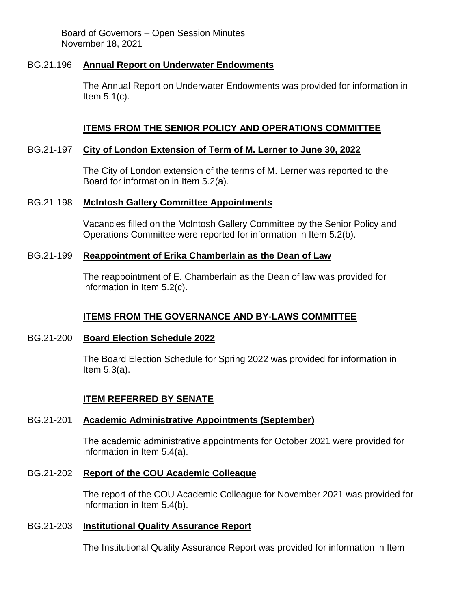#### BG.21.196 **Annual Report on Underwater Endowments**

The Annual Report on Underwater Endowments was provided for information in Item 5.1(c).

### **ITEMS FROM THE SENIOR POLICY AND OPERATIONS COMMITTEE**

#### BG.21-197 **City of London Extension of Term of M. Lerner to June 30, 2022**

The City of London extension of the terms of M. Lerner was reported to the Board for information in Item 5.2(a).

#### BG.21-198 **McIntosh Gallery Committee Appointments**

Vacancies filled on the McIntosh Gallery Committee by the Senior Policy and Operations Committee were reported for information in Item 5.2(b).

# BG.21-199 **Reappointment of Erika Chamberlain as the Dean of Law**

The reappointment of E. Chamberlain as the Dean of law was provided for information in Item 5.2(c).

### **ITEMS FROM THE GOVERNANCE AND BY-LAWS COMMITTEE**

### BG.21-200 **Board Election Schedule 2022**

The Board Election Schedule for Spring 2022 was provided for information in Item 5.3(a).

### **ITEM REFERRED BY SENATE**

### BG.21-201 **Academic Administrative Appointments (September)**

The academic administrative appointments for October 2021 were provided for information in Item 5.4(a).

### BG.21-202 **Report of the COU Academic Colleague**

The report of the COU Academic Colleague for November 2021 was provided for information in Item 5.4(b).

# BG.21-203 **Institutional Quality Assurance Report**

The Institutional Quality Assurance Report was provided for information in Item